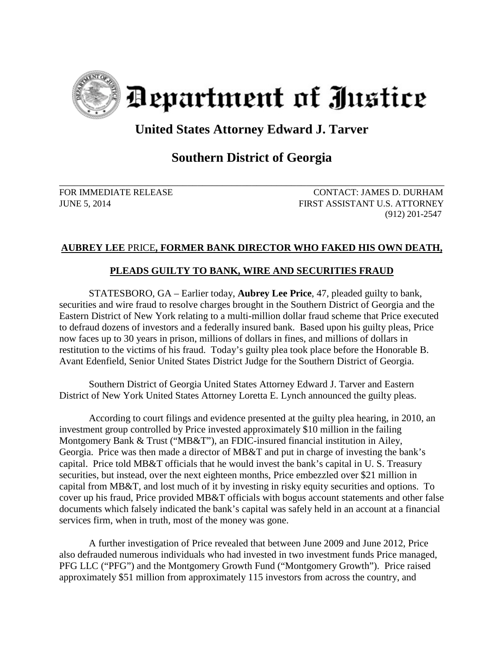

## **United States Attorney Edward J. Tarver**

## **Southern District of Georgia**

\_\_\_\_\_\_\_\_\_\_\_\_\_\_\_\_\_\_\_\_\_\_\_\_\_\_\_\_\_\_\_\_\_\_\_\_\_\_\_\_\_\_\_\_\_\_\_\_\_\_\_\_\_\_\_\_\_\_\_\_\_\_\_\_\_\_\_\_\_\_\_\_\_\_\_\_\_\_ FOR IMMEDIATE RELEASE CONTACT: JAMES D. DURHAM JUNE 5, 2014 FIRST ASSISTANT U.S. ATTORNEY (912) 201-2547

## **AUBREY LEE** PRICE**, FORMER BANK DIRECTOR WHO FAKED HIS OWN DEATH,**

## **PLEADS GUILTY TO BANK, WIRE AND SECURITIES FRAUD**

STATESBORO, GA – Earlier today, **Aubrey Lee Price**, 47, pleaded guilty to bank, securities and wire fraud to resolve charges brought in the Southern District of Georgia and the Eastern District of New York relating to a multi-million dollar fraud scheme that Price executed to defraud dozens of investors and a federally insured bank. Based upon his guilty pleas, Price now faces up to 30 years in prison, millions of dollars in fines, and millions of dollars in restitution to the victims of his fraud. Today's guilty plea took place before the Honorable B. Avant Edenfield, Senior United States District Judge for the Southern District of Georgia.

Southern District of Georgia United States Attorney Edward J. Tarver and Eastern District of New York United States Attorney Loretta E. Lynch announced the guilty pleas.

According to court filings and evidence presented at the guilty plea hearing, in 2010, an investment group controlled by Price invested approximately \$10 million in the failing Montgomery Bank & Trust ("MB&T"), an FDIC-insured financial institution in Ailey, Georgia. Price was then made a director of MB&T and put in charge of investing the bank's capital. Price told MB&T officials that he would invest the bank's capital in U. S. Treasury securities, but instead, over the next eighteen months, Price embezzled over \$21 million in capital from MB&T, and lost much of it by investing in risky equity securities and options. To cover up his fraud, Price provided MB&T officials with bogus account statements and other false documents which falsely indicated the bank's capital was safely held in an account at a financial services firm, when in truth, most of the money was gone.

A further investigation of Price revealed that between June 2009 and June 2012, Price also defrauded numerous individuals who had invested in two investment funds Price managed, PFG LLC ("PFG") and the Montgomery Growth Fund ("Montgomery Growth"). Price raised approximately \$51 million from approximately 115 investors from across the country, and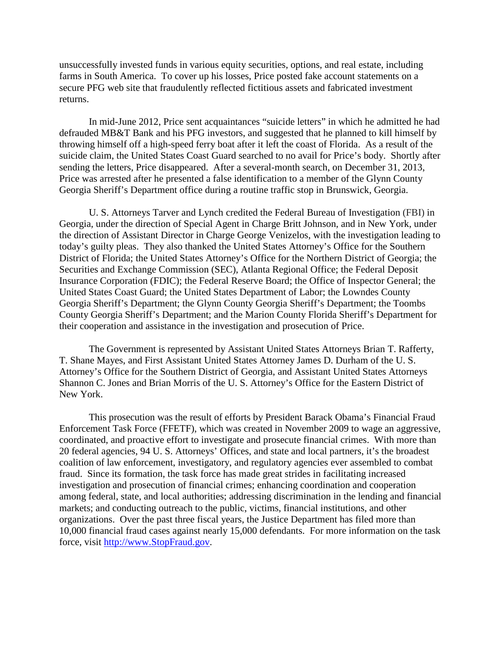unsuccessfully invested funds in various equity securities, options, and real estate, including farms in South America. To cover up his losses, Price posted fake account statements on a secure PFG web site that fraudulently reflected fictitious assets and fabricated investment returns.

In mid-June 2012, Price sent acquaintances "suicide letters" in which he admitted he had defrauded MB&T Bank and his PFG investors, and suggested that he planned to kill himself by throwing himself off a high-speed ferry boat after it left the coast of Florida. As a result of the suicide claim, the United States Coast Guard searched to no avail for Price's body. Shortly after sending the letters, Price disappeared. After a several-month search, on December 31, 2013, Price was arrested after he presented a false identification to a member of the Glynn County Georgia Sheriff's Department office during a routine traffic stop in Brunswick, Georgia.

U. S. Attorneys Tarver and Lynch credited the Federal Bureau of Investigation (FBI) in Georgia, under the direction of Special Agent in Charge Britt Johnson, and in New York, under the direction of Assistant Director in Charge George Venizelos, with the investigation leading to today's guilty pleas. They also thanked the United States Attorney's Office for the Southern District of Florida; the United States Attorney's Office for the Northern District of Georgia; the Securities and Exchange Commission (SEC), Atlanta Regional Office; the Federal Deposit Insurance Corporation (FDIC); the Federal Reserve Board; the Office of Inspector General; the United States Coast Guard; the United States Department of Labor; the Lowndes County Georgia Sheriff's Department; the Glynn County Georgia Sheriff's Department; the Toombs County Georgia Sheriff's Department; and the Marion County Florida Sheriff's Department for their cooperation and assistance in the investigation and prosecution of Price.

The Government is represented by Assistant United States Attorneys Brian T. Rafferty, T. Shane Mayes, and First Assistant United States Attorney James D. Durham of the U. S. Attorney's Office for the Southern District of Georgia, and Assistant United States Attorneys Shannon C. Jones and Brian Morris of the U. S. Attorney's Office for the Eastern District of New York.

 This prosecution was the result of efforts by President Barack Obama's Financial Fraud Enforcement Task Force (FFETF), which was created in November 2009 to wage an aggressive, coordinated, and proactive effort to investigate and prosecute financial crimes. With more than 20 federal agencies, 94 U. S. Attorneys' Offices, and state and local partners, it's the broadest coalition of law enforcement, investigatory, and regulatory agencies ever assembled to combat fraud. Since its formation, the task force has made great strides in facilitating increased investigation and prosecution of financial crimes; enhancing coordination and cooperation among federal, state, and local authorities; addressing discrimination in the lending and financial markets; and conducting outreach to the public, victims, financial institutions, and other organizations. Over the past three fiscal years, the Justice Department has filed more than 10,000 financial fraud cases against nearly 15,000 defendants. For more information on the task force, visit [http://www.StopFraud.gov.](http://www.stopfraud.gov/)